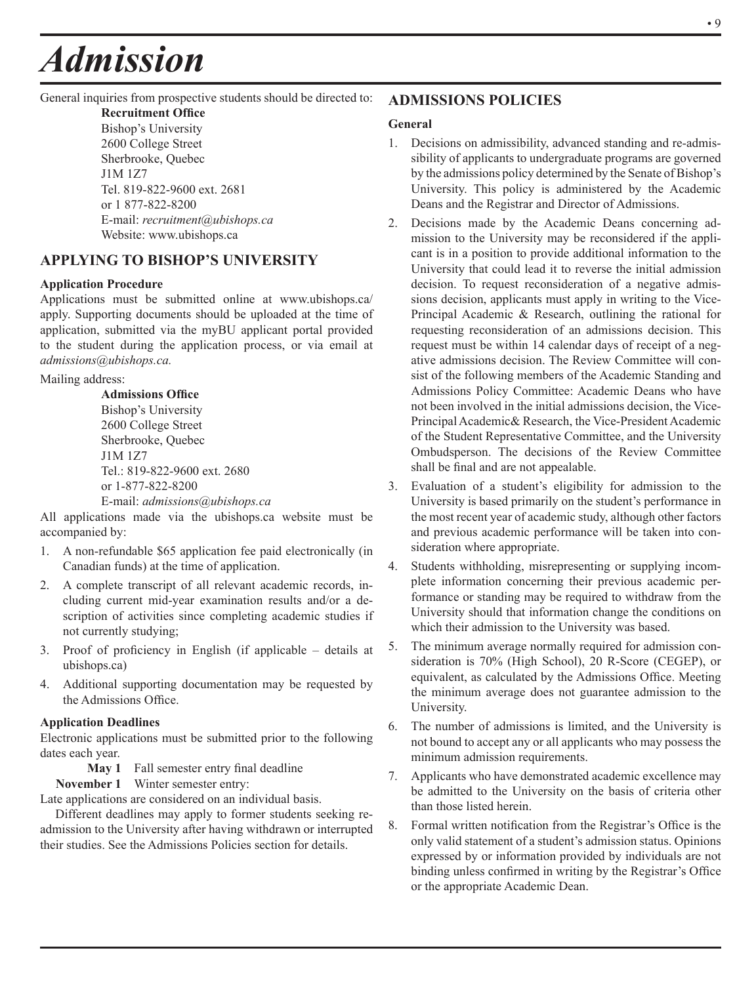# *Admission*

#### General inquiries from prospective students should be directed to:

**Recruitment Office** Bishop's University 2600 College Street Sherbrooke, Quebec J1M 1Z7 Tel. 819-822-9600 ext. 2681 or 1 877-822-8200 E-mail: *recruitment@ubishops.ca* Website: www.ubishops.ca

## **APPLYING TO BISHOP'S UNIVERSITY**

## **Application Procedure**

Applications must be submitted online at www.ubishops.ca/ apply. Supporting documents should be uploaded at the time of application, submitted via the myBU applicant portal provided to the student during the application process, or via email at *admissions@ubishops.ca.*

Mailing address:

**Admissions Office** Bishop's University 2600 College Street Sherbrooke, Quebec J1M 1Z7 Tel.: 819-822-9600 ext. 2680 or 1-877-822-8200 E-mail: *admissions@ubishops.ca*

All applications made via the ubishops.ca website must be accompanied by:

- 1. A non-refundable \$65 application fee paid electronically (in Canadian funds) at the time of application.
- 2. A complete transcript of all relevant academic records, including current mid-year examination results and/or a description of activities since completing academic studies if not currently studying;
- 3. Proof of proficiency in English (if applicable details at ubishops.ca)
- 4. Additional supporting documentation may be requested by the Admissions Office.

#### **Application Deadlines**

Electronic applications must be submitted prior to the following dates each year.

**May 1** Fall semester entry final deadline

**November 1** Winter semester entry:

Late applications are considered on an individual basis.

Different deadlines may apply to former students seeking readmission to the University after having withdrawn or interrupted their studies. See the Admissions Policies section for details.

## **ADMISSIONS POLICIES**

#### **General**

- 1. Decisions on admissibility, advanced standing and re-admissibility of applicants to undergraduate programs are governed by the admissions policy determined by the Senate of Bishop's University. This policy is administered by the Academic Deans and the Registrar and Director of Admissions.
- 2. Decisions made by the Academic Deans concerning admission to the University may be reconsidered if the applicant is in a position to provide additional information to the University that could lead it to reverse the initial admission decision. To request reconsideration of a negative admissions decision, applicants must apply in writing to the Vice-Principal Academic & Research, outlining the rational for requesting reconsideration of an admissions decision. This request must be within 14 calendar days of receipt of a negative admissions decision. The Review Committee will consist of the following members of the Academic Standing and Admissions Policy Committee: Academic Deans who have not been involved in the initial admissions decision, the Vice-Principal Academic& Research, the Vice-President Academic of the Student Representative Committee, and the University Ombudsperson. The decisions of the Review Committee shall be final and are not appealable.
- 3. Evaluation of a student's eligibility for admission to the University is based primarily on the student's performance in the most recent year of academic study, although other factors and previous academic performance will be taken into consideration where appropriate.
- 4. Students withholding, misrepresenting or supplying incomplete information concerning their previous academic performance or standing may be required to withdraw from the University should that information change the conditions on which their admission to the University was based.
- 5. The minimum average normally required for admission consideration is 70% (High School), 20 R-Score (CEGEP), or equivalent, as calculated by the Admissions Office. Meeting the minimum average does not guarantee admission to the University.
- 6. The number of admissions is limited, and the University is not bound to accept any or all applicants who may possess the minimum admission requirements.
- 7. Applicants who have demonstrated academic excellence may be admitted to the University on the basis of criteria other than those listed herein.
- 8. Formal written notification from the Registrar's Office is the only valid statement of a student's admission status. Opinions expressed by or information provided by individuals are not binding unless confirmed in writing by the Registrar's Office or the appropriate Academic Dean.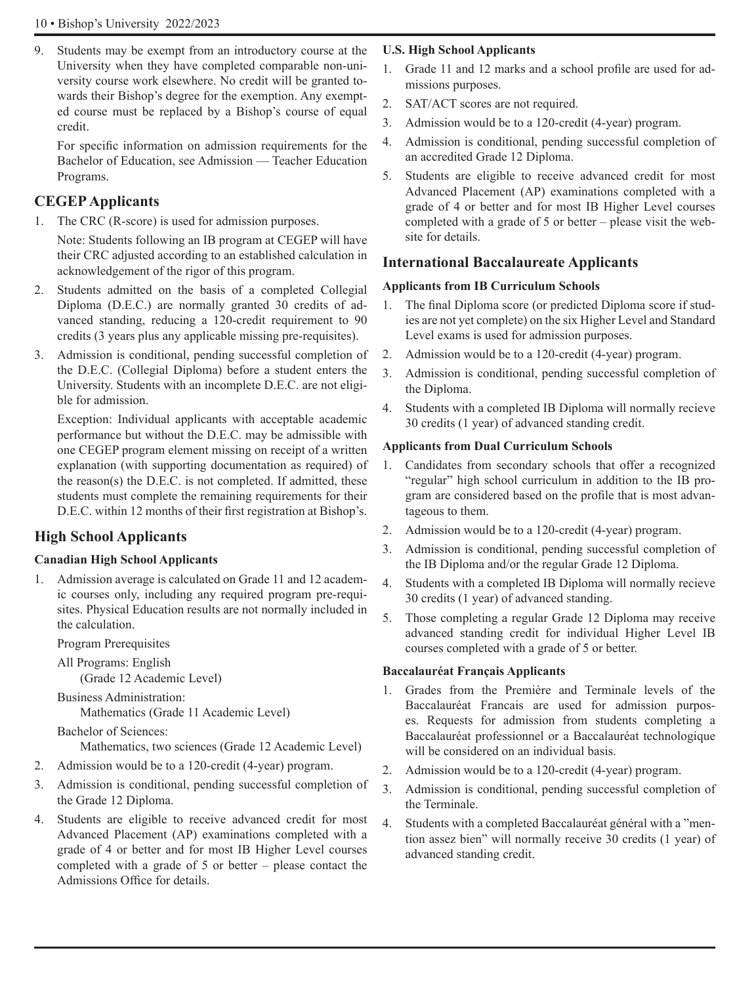9. Students may be exempt from an introductory course at the University when they have completed comparable non-university course work elsewhere. No credit will be granted towards their Bishop's degree for the exemption. Any exempted course must be replaced by a Bishop's course of equal credit.

 For specific information on admission requirements for the Bachelor of Education, see Admission — Teacher Education Programs.

## **CEGEP Applicants**

1. The CRC (R-score) is used for admission purposes.

Note: Students following an IB program at CEGEP will have their CRC adjusted according to an established calculation in acknowledgement of the rigor of this program.

- 2. Students admitted on the basis of a completed Collegial Diploma (D.E.C.) are normally granted 30 credits of advanced standing, reducing a 120-credit requirement to 90 credits (3 years plus any applicable missing pre-requisites).
- 3. Admission is conditional, pending successful completion of the D.E.C. (Collegial Diploma) before a student enters the University. Students with an incomplete D.E.C. are not eligible for admission.

Exception: Individual applicants with acceptable academic performance but without the D.E.C. may be admissible with one CEGEP program element missing on receipt of a written explanation (with supporting documentation as required) of the reason(s) the D.E.C. is not completed. If admitted, these students must complete the remaining requirements for their D.E.C. within 12 months of their first registration at Bishop's.

## **High School Applicants**

## **Canadian High School Applicants**

1. Admission average is calculated on Grade 11 and 12 academic courses only, including any required program pre-requisites. Physical Education results are not normally included in the calculation.

Program Prerequisites

All Programs: English (Grade 12 Academic Level)

Business Administration: Mathematics (Grade 11 Academic Level)

Bachelor of Sciences:

Mathematics, two sciences (Grade 12 Academic Level)

- 2. Admission would be to a 120-credit (4-year) program.
- 3. Admission is conditional, pending successful completion of the Grade 12 Diploma.
- 4. Students are eligible to receive advanced credit for most Advanced Placement (AP) examinations completed with a grade of 4 or better and for most IB Higher Level courses completed with a grade of 5 or better – please contact the Admissions Office for details.

## **U.S. High School Applicants**

- 1. Grade 11 and 12 marks and a school profile are used for admissions purposes.
- 2. SAT/ACT scores are not required.
- 3. Admission would be to a 120-credit (4-year) program.
- 4. Admission is conditional, pending successful completion of an accredited Grade 12 Diploma.
- 5. Students are eligible to receive advanced credit for most Advanced Placement (AP) examinations completed with a grade of 4 or better and for most IB Higher Level courses completed with a grade of 5 or better – please visit the website for details.

## **International Baccalaureate Applicants**

## **Applicants from IB Curriculum Schools**

- 1. The final Diploma score (or predicted Diploma score if studies are not yet complete) on the six Higher Level and Standard Level exams is used for admission purposes.
- 2. Admission would be to a 120-credit (4-year) program.
- 3. Admission is conditional, pending successful completion of the Diploma.
- 4. Students with a completed IB Diploma will normally recieve 30 credits (1 year) of advanced standing credit.

## **Applicants from Dual Curriculum Schools**

- 1. Candidates from secondary schools that offer a recognized "regular" high school curriculum in addition to the IB program are considered based on the profile that is most advantageous to them.
- 2. Admission would be to a 120-credit (4-year) program.
- 3. Admission is conditional, pending successful completion of the IB Diploma and/or the regular Grade 12 Diploma.
- 4. Students with a completed IB Diploma will normally recieve 30 credits (1 year) of advanced standing.
- 5. Those completing a regular Grade 12 Diploma may receive advanced standing credit for individual Higher Level IB courses completed with a grade of 5 or better.

## **Baccalauréat Français Applicants**

- 1. Grades from the Première and Terminale levels of the Baccalauréat Francais are used for admission purposes. Requests for admission from students completing a Baccalauréat professionnel or a Baccalauréat technologique will be considered on an individual basis.
- 2. Admission would be to a 120-credit (4-year) program.
- 3. Admission is conditional, pending successful completion of the Terminale.
- 4. Students with a completed Baccalauréat général with a "mention assez bien" will normally receive 30 credits (1 year) of advanced standing credit.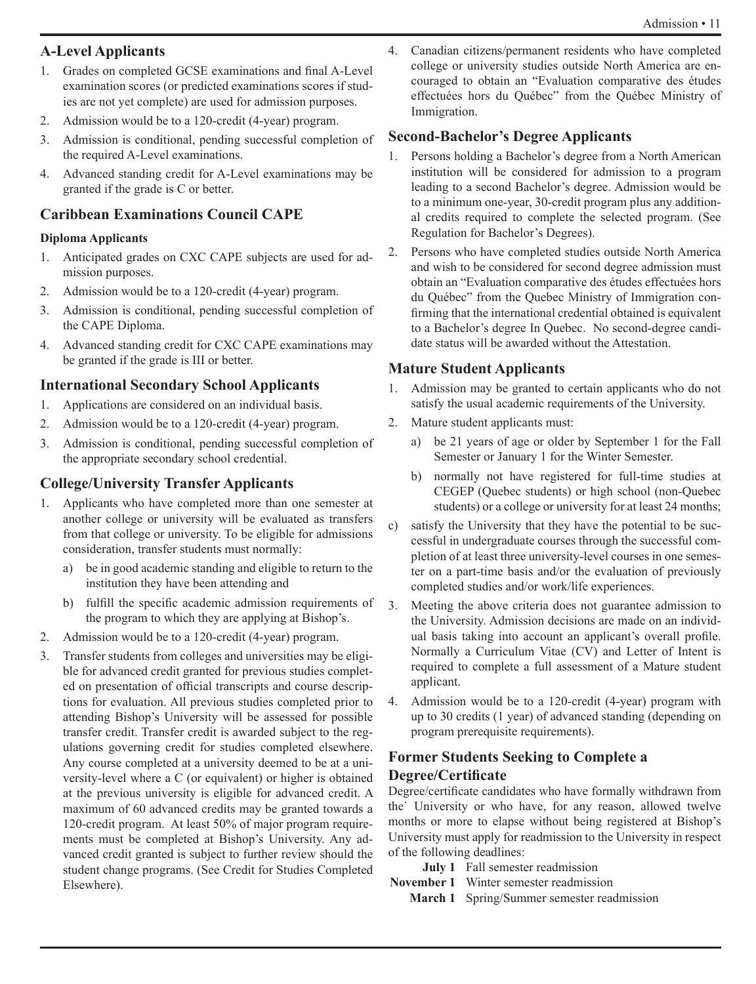# **A-Level Applicants**

- 1. Grades on completed GCSE examinations and final A-Level examination scores (or predicted examinations scores if studies are not yet complete) are used for admission purposes.
- 2. Admission would be to a 120-credit (4-year) program.
- 3. Admission is conditional, pending successful completion of the required A-Level examinations.
- 4. Advanced standing credit for A-Level examinations may be granted if the grade is C or better.

# **Caribbean Examinations Council CAPE**

## **Diploma Applicants**

- 1. Anticipated grades on CXC CAPE subjects are used for admission purposes.
- 2. Admission would be to a 120-credit (4-year) program.
- 3. Admission is conditional, pending successful completion of the CAPE Diploma.
- 4. Advanced standing credit for CXC CAPE examinations may be granted if the grade is III or better.

# **International Secondary School Applicants**

- 1. Applications are considered on an individual basis.
- 2. Admission would be to a 120-credit (4-year) program.
- 3. Admission is conditional, pending successful completion of the appropriate secondary school credential.

# **College/University Transfer Applicants**

- 1. Applicants who have completed more than one semester at another college or university will be evaluated as transfers from that college or university. To be eligible for admissions consideration, transfer students must normally:
	- a) be in good academic standing and eligible to return to the institution they have been attending and
	- b) fulfill the specific academic admission requirements of the program to which they are applying at Bishop's.
- 2. Admission would be to a 120-credit (4-year) program.
- 3. Transfer students from colleges and universities may be eligible for advanced credit granted for previous studies completed on presentation of official transcripts and course descriptions for evaluation. All previous studies completed prior to attending Bishop's University will be assessed for possible transfer credit. Transfer credit is awarded subject to the regulations governing credit for studies completed elsewhere. Any course completed at a university deemed to be at a university-level where a C (or equivalent) or higher is obtained at the previous university is eligible for advanced credit. A maximum of 60 advanced credits may be granted towards a 120-credit program. At least 50% of major program requirements must be completed at Bishop's University. Any advanced credit granted is subject to further review should the student change programs. (See Credit for Studies Completed Elsewhere).

4. Canadian citizens/permanent residents who have completed college or university studies outside North America are encouraged to obtain an "Evaluation comparative des études effectuées hors du Québec" from the Québec Ministry of Immigration.

# **Second-Bachelor's Degree Applicants**

- 1. Persons holding a Bachelor's degree from a North American institution will be considered for admission to a program leading to a second Bachelor's degree. Admission would be to a minimum one-year, 30-credit program plus any additional credits required to complete the selected program. (See Regulation for Bachelor's Degrees).
- 2. Persons who have completed studies outside North America and wish to be considered for second degree admission must obtain an "Evaluation comparative des études effectuées hors du Québec" from the Quebec Ministry of Immigration confirming that the international credential obtained is equivalent to a Bachelor's degree In Quebec. No second-degree candidate status will be awarded without the Attestation.

# **Mature Student Applicants**

- 1. Admission may be granted to certain applicants who do not satisfy the usual academic requirements of the University.
- 2. Mature student applicants must:
	- a) be 21 years of age or older by September 1 for the Fall Semester or January 1 for the Winter Semester.
	- b) normally not have registered for full-time studies at CEGEP (Quebec students) or high school (non-Quebec students) or a college or university for at least 24 months;
- c) satisfy the University that they have the potential to be successful in undergraduate courses through the successful completion of at least three university-level courses in one semester on a part-time basis and/or the evaluation of previously completed studies and/or work/life experiences.
- 3. Meeting the above criteria does not guarantee admission to the University. Admission decisions are made on an individual basis taking into account an applicant's overall profile. Normally a Curriculum Vitae (CV) and Letter of Intent is required to complete a full assessment of a Mature student applicant.
- 4. Admission would be to a 120-credit (4-year) program with up to 30 credits (1 year) of advanced standing (depending on program prerequisite requirements).

## **Former Students Seeking to Complete a Degree/Certificate**

Degree/certificate candidates who have formally withdrawn from the` University or who have, for any reason, allowed twelve months or more to elapse without being registered at Bishop's University must apply for readmission to the University in respect of the following deadlines:

- **July 1** Fall semester readmission
- **November 1** Winter semester readmission **March 1** Spring/Summer semester readmission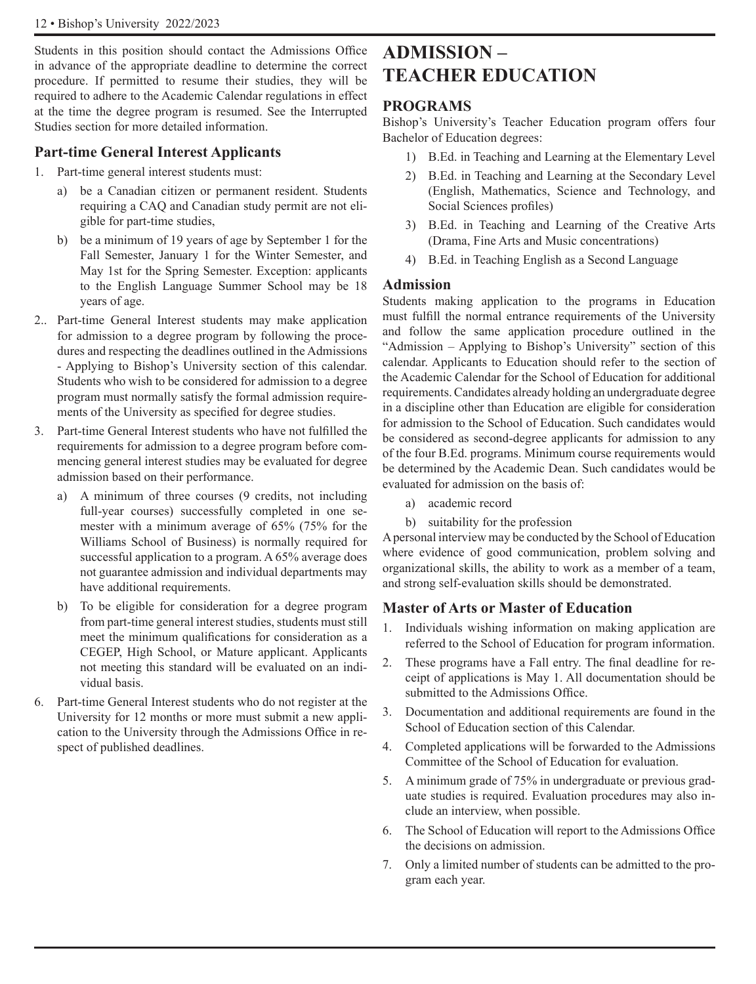#### 12 • Bishop's University 2022/2023

Students in this position should contact the Admissions Office in advance of the appropriate deadline to determine the correct procedure. If permitted to resume their studies, they will be required to adhere to the Academic Calendar regulations in effect at the time the degree program is resumed. See the Interrupted Studies section for more detailed information.

#### **Part-time General Interest Applicants**

- 1. Part-time general interest students must:
	- a) be a Canadian citizen or permanent resident. Students requiring a CAQ and Canadian study permit are not eligible for part-time studies,
	- b) be a minimum of 19 years of age by September 1 for the Fall Semester, January 1 for the Winter Semester, and May 1st for the Spring Semester. Exception: applicants to the English Language Summer School may be 18 years of age.
- 2.. Part-time General Interest students may make application for admission to a degree program by following the procedures and respecting the deadlines outlined in the Admissions - Applying to Bishop's University section of this calendar. Students who wish to be considered for admission to a degree program must normally satisfy the formal admission requirements of the University as specified for degree studies.
- 3. Part-time General Interest students who have not fulfilled the requirements for admission to a degree program before commencing general interest studies may be evaluated for degree admission based on their performance.
	- a) A minimum of three courses (9 credits, not including full-year courses) successfully completed in one semester with a minimum average of 65% (75% for the Williams School of Business) is normally required for successful application to a program. A 65% average does not guarantee admission and individual departments may have additional requirements.
	- b) To be eligible for consideration for a degree program from part-time general interest studies, students must still meet the minimum qualifications for consideration as a CEGEP, High School, or Mature applicant. Applicants not meeting this standard will be evaluated on an individual basis.
- 6. Part-time General Interest students who do not register at the University for 12 months or more must submit a new application to the University through the Admissions Office in respect of published deadlines.

# **ADMISSION – TEACHER EDUCATION**

#### **PROGRAMS**

Bishop's University's Teacher Education program offers four Bachelor of Education degrees:

- 1) B.Ed. in Teaching and Learning at the Elementary Level
- 2) B.Ed. in Teaching and Learning at the Secondary Level (English, Mathematics, Science and Technology, and Social Sciences profiles)
- 3) B.Ed. in Teaching and Learning of the Creative Arts (Drama, Fine Arts and Music concentrations)
- 4) B.Ed. in Teaching English as a Second Language

#### **Admission**

Students making application to the programs in Education must fulfill the normal entrance requirements of the University and follow the same application procedure outlined in the "Admission – Applying to Bishop's University" section of this calendar. Applicants to Education should refer to the section of the Academic Calendar for the School of Education for additional requirements. Candidates already holding an undergraduate degree in a discipline other than Education are eligible for consideration for admission to the School of Education. Such candidates would be considered as second-degree applicants for admission to any of the four B.Ed. programs. Minimum course requirements would be determined by the Academic Dean. Such candidates would be evaluated for admission on the basis of:

- a) academic record
- b) suitability for the profession

A personal interview may be conducted by the School of Education where evidence of good communication, problem solving and organizational skills, the ability to work as a member of a team, and strong self-evaluation skills should be demonstrated.

#### **Master of Arts or Master of Education**

- 1. Individuals wishing information on making application are referred to the School of Education for program information.
- 2. These programs have a Fall entry. The final deadline for receipt of applications is May 1. All documentation should be submitted to the Admissions Office.
- 3. Documentation and additional requirements are found in the School of Education section of this Calendar.
- 4. Completed applications will be forwarded to the Admissions Committee of the School of Education for evaluation.
- 5. A minimum grade of 75% in undergraduate or previous graduate studies is required. Evaluation procedures may also include an interview, when possible.
- 6. The School of Education will report to the Admissions Office the decisions on admission.
- 7. Only a limited number of students can be admitted to the program each year.